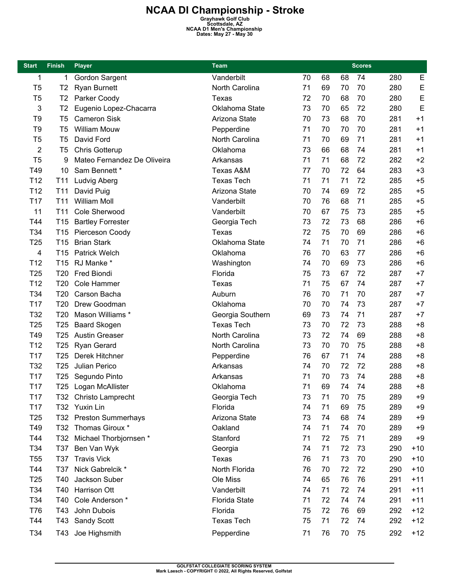## **NCAA DI Championship - Stroke**<br>
Grayhawk Golf Club<br>
Scottsdale, AZ<br> **NCAA D1 Men's Championship**<br>
Dates: May 27 - May 30

| <b>Start</b>    | <b>Finish</b>   | <b>Player</b>               | <b>Team</b>          |    | <b>Scores</b> |    |    |     |       |
|-----------------|-----------------|-----------------------------|----------------------|----|---------------|----|----|-----|-------|
| 1               | 1               | Gordon Sargent              | Vanderbilt           | 70 | 68            | 68 | 74 | 280 | E     |
| T <sub>5</sub>  | T <sub>2</sub>  | <b>Ryan Burnett</b>         | North Carolina       | 71 | 69            | 70 | 70 | 280 | E     |
| T <sub>5</sub>  | T <sub>2</sub>  | Parker Coody                | Texas                | 72 | 70            | 68 | 70 | 280 | E     |
| 3               | T <sub>2</sub>  | Eugenio Lopez-Chacarra      | Oklahoma State       | 73 | 70            | 65 | 72 | 280 | E     |
| T <sub>9</sub>  | T <sub>5</sub>  | <b>Cameron Sisk</b>         | Arizona State        | 70 | 73            | 68 | 70 | 281 | $+1$  |
| T <sub>9</sub>  | T <sub>5</sub>  | <b>William Mouw</b>         | Pepperdine           | 71 | 70            | 70 | 70 | 281 | $+1$  |
| T <sub>5</sub>  | T <sub>5</sub>  | David Ford                  | North Carolina       | 71 | 70            | 69 | 71 | 281 | $+1$  |
| $\overline{2}$  | T <sub>5</sub>  | Chris Gotterup              | Oklahoma             | 73 | 66            | 68 | 74 | 281 | $+1$  |
| T <sub>5</sub>  | 9               | Mateo Fernandez De Oliveira | Arkansas             | 71 | 71            | 68 | 72 | 282 | $+2$  |
| T49             | 10              | Sam Bennett *               | Texas A&M            | 77 | 70            | 72 | 64 | 283 | $+3$  |
| T <sub>12</sub> | T11             | Ludvig Aberg                | <b>Texas Tech</b>    | 71 | 71            | 71 | 72 | 285 | $+5$  |
| T <sub>12</sub> | T <sub>11</sub> | David Puig                  | Arizona State        | 70 | 74            | 69 | 72 | 285 | $+5$  |
| T <sub>17</sub> | T <sub>11</sub> | <b>William Moll</b>         | Vanderbilt           | 70 | 76            | 68 | 71 | 285 | $+5$  |
| 11              | T11             | Cole Sherwood               | Vanderbilt           | 70 | 67            | 75 | 73 | 285 | $+5$  |
| T44             | T <sub>15</sub> | <b>Bartley Forrester</b>    | Georgia Tech         | 73 | 72            | 73 | 68 | 286 | $+6$  |
| T34             | T <sub>15</sub> | Pierceson Coody             | Texas                | 72 | 75            | 70 | 69 | 286 | $+6$  |
| T <sub>25</sub> | T <sub>15</sub> | <b>Brian Stark</b>          | Oklahoma State       | 74 | 71            | 70 | 71 | 286 | $+6$  |
| 4               | T <sub>15</sub> | <b>Patrick Welch</b>        | Oklahoma             | 76 | 70            | 63 | 77 | 286 | $+6$  |
| T12             | T <sub>15</sub> | RJ Manke *                  | Washington           | 74 | 70            | 69 | 73 | 286 | $+6$  |
| T <sub>25</sub> | T <sub>20</sub> | Fred Biondi                 | Florida              | 75 | 73            | 67 | 72 | 287 | $+7$  |
| T <sub>12</sub> | T <sub>20</sub> | Cole Hammer                 | Texas                | 71 | 75            | 67 | 74 | 287 | $+7$  |
| T34             | T <sub>20</sub> | Carson Bacha                | Auburn               | 76 | 70            | 71 | 70 | 287 | $+7$  |
| T <sub>17</sub> | T <sub>20</sub> | Drew Goodman                | Oklahoma             | 70 | 70            | 74 | 73 | 287 | $+7$  |
| T32             | T <sub>20</sub> | Mason Williams *            | Georgia Southern     | 69 | 73            | 74 | 71 | 287 | $+7$  |
| T <sub>25</sub> | T <sub>25</sub> | <b>Baard Skogen</b>         | <b>Texas Tech</b>    | 73 | 70            | 72 | 73 | 288 | $+8$  |
| T49             | T <sub>25</sub> | <b>Austin Greaser</b>       | North Carolina       | 73 | 72            | 74 | 69 | 288 | $+8$  |
| T <sub>12</sub> | T <sub>25</sub> | <b>Ryan Gerard</b>          | North Carolina       | 73 | 70            | 70 | 75 | 288 | $+8$  |
| T <sub>17</sub> | T <sub>25</sub> | Derek Hitchner              | Pepperdine           | 76 | 67            | 71 | 74 | 288 | $+8$  |
| T32             | T <sub>25</sub> | Julian Perico               | Arkansas             | 74 | 70            | 72 | 72 | 288 | $+8$  |
| T <sub>17</sub> | T <sub>25</sub> | Segundo Pinto               | Arkansas             | 71 | 70            | 73 | 74 | 288 | $+8$  |
| T <sub>17</sub> | T <sub>25</sub> | Logan McAllister            | Oklahoma             | 71 | 69            | 74 | 74 | 288 | $+8$  |
| T17             |                 | T32 Christo Lamprecht       | Georgia Tech         | 73 | 71            | 70 | 75 | 289 | $+9$  |
| T <sub>17</sub> |                 | T32 Yuxin Lin               | Florida              | 74 | 71            | 69 | 75 | 289 | $+9$  |
| T <sub>25</sub> |                 | T32 Preston Summerhays      | Arizona State        | 73 | 74            | 68 | 74 | 289 | $+9$  |
| T49             |                 | T32 Thomas Giroux *         | Oakland              | 74 | 71            | 74 | 70 | 289 | $+9$  |
| T44             | T32             | Michael Thorbjornsen *      | Stanford             | 71 | 72            | 75 | 71 | 289 | $+9$  |
| T34             | T37             | Ben Van Wyk                 | Georgia              | 74 | 71            | 72 | 73 | 290 | $+10$ |
| T <sub>55</sub> | T37             | <b>Travis Vick</b>          | Texas                | 76 | 71            | 73 | 70 | 290 | $+10$ |
| T44             | T37             | Nick Gabrelcik *            | North Florida        | 76 | 70            | 72 | 72 | 290 | $+10$ |
| T <sub>25</sub> | T40             | Jackson Suber               | Ole Miss             | 74 | 65            | 76 | 76 | 291 | $+11$ |
| T34             | T40             | Harrison Ott                | Vanderbilt           | 74 | 71            | 72 | 74 | 291 | $+11$ |
| T34             | T40             | Cole Anderson *             | <b>Florida State</b> | 71 | 72            | 74 | 74 | 291 | $+11$ |
| T76             | T43             | John Dubois                 | Florida              | 75 | 72            | 76 | 69 | 292 | $+12$ |
| T44             | T43             |                             | <b>Texas Tech</b>    | 75 | 71            | 72 | 74 | 292 | $+12$ |
|                 |                 | <b>Sandy Scott</b>          |                      |    |               |    |    |     |       |
| T34             | T43             | Joe Highsmith               | Pepperdine           | 71 | 76            | 70 | 75 | 292 | $+12$ |